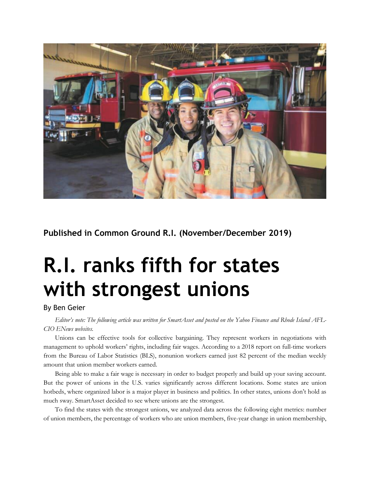

**Published in Common Ground R.I. (November/December 2019)**

## **R.I. ranks fifth for states with strongest unions**

## By Ben Geier

Editor's note: The following article was written for SmartAsset and posted on the Yahoo Finance and Rhode Island AFL-*CIO ENews websites.*

Unions can be effective tools for collective bargaining. They represent workers in negotiations with management to uphold workers' rights, including fair wages. According to a 2018 report on full-time workers from the Bureau of Labor Statistics (BLS), nonunion workers earned just 82 percent of the median weekly amount that union member workers earned.

Being able to make a fair wage is necessary in order to budget properly and build up your saving account. But the power of unions in the U.S. varies significantly across different locations. Some states are union hotbeds, where organized labor is a major player in business and politics. In other states, unions don't hold as much sway. SmartAsset decided to see where unions are the strongest.

To find the states with the strongest unions, we analyzed data across the following eight metrics: number of union members, the percentage of workers who are union members, five-year change in union membership,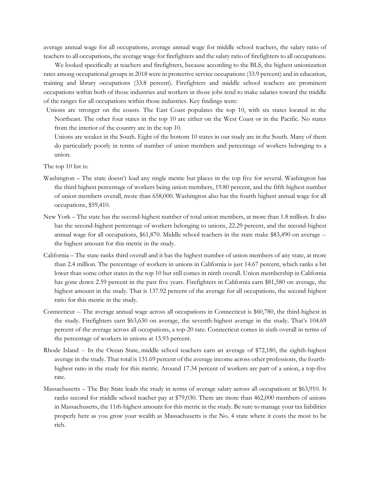average annual wage for all occupations, average annual wage for middle school teachers, the salary ratio of teachers to all occupations, the average wage for firefighters and the salary ratio of firefighters to all occupations.

We looked specifically at teachers and firefighters, because according to the BLS, the highest unionization rates among occupational groups in 2018 were in protective service occupations (33.9 percent) and in education, training and library occupations (33.8 percent). Firefighters and middle school teachers are prominent occupations within both of those industries and workers in those jobs tend to make salaries toward the middle of the ranges for all occupations within those industries. Key findings were:

- Unions are stronger on the coasts. The East Coast populates the top 10, with six states located in the Northeast. The other four states in the top 10 are either on the West Coast or in the Pacific. No states from the interior of the country are in the top 10.
	- Unions are weaker in the South. Eight of the bottom 10 states in our study are in the South. Many of them do particularly poorly in terms of number of union members and percentage of workers belonging to a union.

The top 10 list is:

- Washington The state doesn't lead any single metric but places in the top five for several. Washington has the third highest percentage of workers being union members, 19.80 percent, and the fifth highest number of union members overall, more than 658,000. Washington also has the fourth highest annual wage for all occupations, \$59,410.
- New York The state has the second-highest number of total union members, at more than 1.8 million. It also has the second-highest percentage of workers belonging to unions, 22.29 percent, and the second-highest annual wage for all occupations, \$61,870. Middle school teachers in the state make \$83,490 on average - the highest amount for this metric in the study.
- California The state ranks third overall and it has the highest number of union members of any state, at more than 2.4 million. The percentage of workers in unions in California is just 14.67 percent, which ranks a bit lower than some other states in the top 10 but still comes in ninth overall. Union membership in California has gone down 2.59 percent in the past five years. Firefighters in California earn \$81,580 on average, the highest amount in the study. That is 137.92 percent of the average for all occupations, the second-highest ratio for this metric in the study.
- Connecticut -- The average annual wage across all occupations in Connecticut is \$60,780, the third-highest in the study. Firefighters earn \$63,630 on average, the seventh-highest average in the study. That's 104.69 percent of the average across all occupations, a top-20 rate. Connecticut comes in sixth overall in terms of the percentage of workers in unions at 15.93 percent.
- Rhode Island -- In the Ocean State, middle school teachers earn an average of \$72,180, the eighth-highest average in the study. That total is 131.69 percent of the average income across other professions, the fourthhighest ratio in the study for this metric. Around 17.34 percent of workers are part of a union, a top-five rate.
- Massachusetts The Bay State leads the study in terms of average salary across all occupations at \$63,910. It ranks second for middle school teacher pay at \$79,030. There are more than 462,000 members of unions in Massachusetts, the 11th-highest amount for this metric in the study. Be sure to manage your tax liabilities properly here as you grow your wealth as Massachusetts is the No. 4 state where it costs the most to be rich.